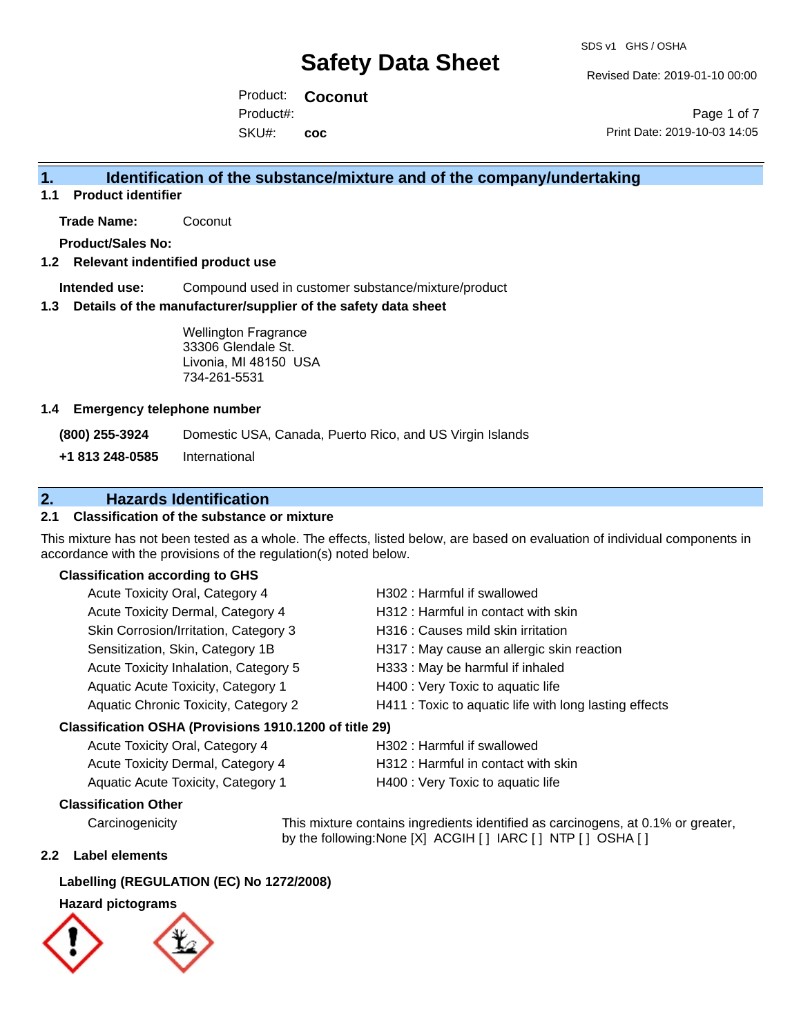Revised Date: 2019-01-10 00:00

Product: **Coconut**  SKU#: Product#: **coc**

Page 1 of 7 Print Date: 2019-10-03 14:05

## **1. Identification of the substance/mixture and of the company/undertaking**

**1.1 Product identifier**

**Trade Name:** Coconut

**Product/Sales No:**

#### **1.2 Relevant indentified product use**

**Intended use:** Compound used in customer substance/mixture/product

#### **1.3 Details of the manufacturer/supplier of the safety data sheet**

Wellington Fragrance 33306 Glendale St. Livonia, MI 48150 USA 734-261-5531

#### **1.4 Emergency telephone number**

**(800) 255-3924** Domestic USA, Canada, Puerto Rico, and US Virgin Islands

**+1 813 248-0585** International

## **2. Hazards Identification**

#### **2.1 Classification of the substance or mixture**

This mixture has not been tested as a whole. The effects, listed below, are based on evaluation of individual components in accordance with the provisions of the regulation(s) noted below.

### **Classification according to GHS**

| Acute Toxicity Oral, Category 4                     | H302: Harmful if swallowed                             |  |
|-----------------------------------------------------|--------------------------------------------------------|--|
| Acute Toxicity Dermal, Category 4                   | H312: Harmful in contact with skin                     |  |
| Skin Corrosion/Irritation, Category 3               | H316 : Causes mild skin irritation                     |  |
| Sensitization, Skin, Category 1B                    | H317 : May cause an allergic skin reaction             |  |
| Acute Toxicity Inhalation, Category 5               | H333: May be harmful if inhaled                        |  |
| Aquatic Acute Toxicity, Category 1                  | H400 : Very Toxic to aquatic life                      |  |
| Aquatic Chronic Toxicity, Category 2                | H411 : Toxic to aquatic life with long lasting effects |  |
| ceification OSHA (Provisions 1010 1200 of title 20) |                                                        |  |

#### **Classification OSHA (Provisions 1910.1200 of title 29)**

| Acute Toxicity Oral, Category 4    | H302 : Harmful if swallowed         |
|------------------------------------|-------------------------------------|
| Acute Toxicity Dermal, Category 4  | H312 : Harmful in contact with skin |
| Aquatic Acute Toxicity, Category 1 | H400 : Very Toxic to aquatic life   |

#### **Classification Other**

Carcinogenicity This mixture contains ingredients identified as carcinogens, at 0.1% or greater, by the following:None [X] ACGIH [ ] IARC [ ] NTP [ ] OSHA [ ]

#### **2.2 Label elements**

#### **Labelling (REGULATION (EC) No 1272/2008)**

#### **Hazard pictograms**

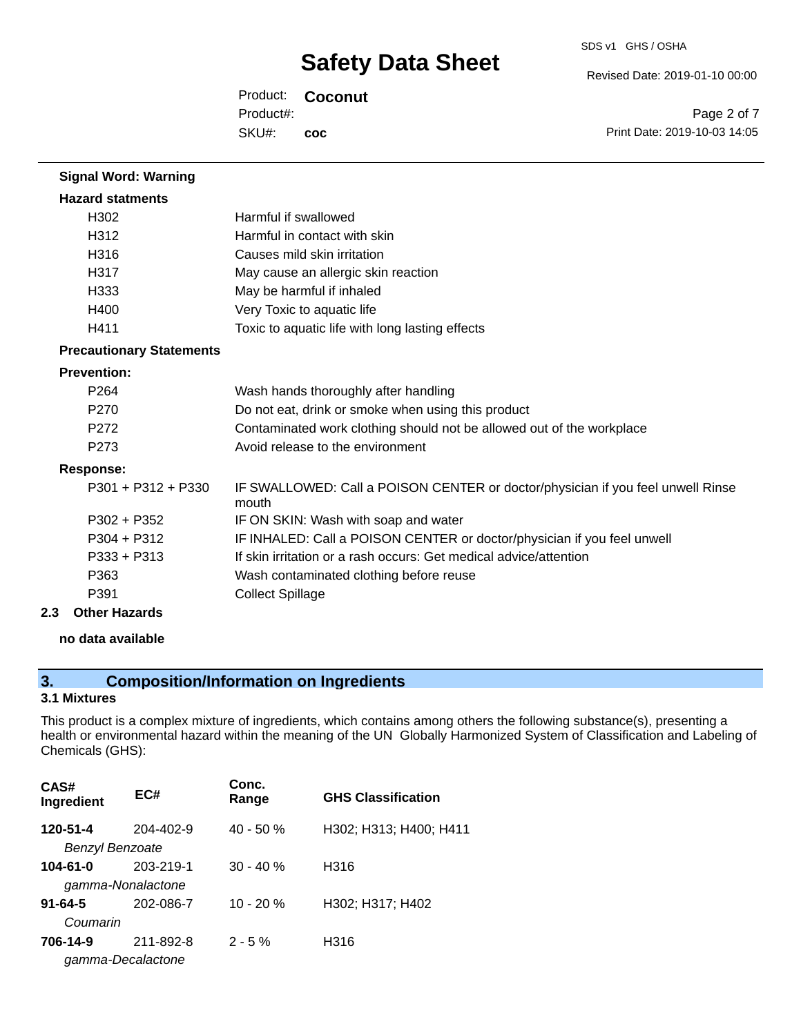Revised Date: 2019-01-10 00:00

Product: **Coconut**  SKU#: Product#: **coc**

Page 2 of 7 Print Date: 2019-10-03 14:05

| <b>Signal Word: Warning</b>     |                                                                                          |
|---------------------------------|------------------------------------------------------------------------------------------|
| <b>Hazard statments</b>         |                                                                                          |
| H302                            | Harmful if swallowed                                                                     |
| H312                            | Harmful in contact with skin                                                             |
| H316                            | Causes mild skin irritation                                                              |
| H317                            | May cause an allergic skin reaction                                                      |
| H <sub>333</sub>                | May be harmful if inhaled                                                                |
| H400                            | Very Toxic to aquatic life                                                               |
| H411                            | Toxic to aquatic life with long lasting effects                                          |
| <b>Precautionary Statements</b> |                                                                                          |
| <b>Prevention:</b>              |                                                                                          |
| P <sub>264</sub>                | Wash hands thoroughly after handling                                                     |
| P <sub>270</sub>                | Do not eat, drink or smoke when using this product                                       |
| P <sub>272</sub>                | Contaminated work clothing should not be allowed out of the workplace                    |
| P <sub>273</sub>                | Avoid release to the environment                                                         |
| <b>Response:</b>                |                                                                                          |
| $P301 + P312 + P330$            | IF SWALLOWED: Call a POISON CENTER or doctor/physician if you feel unwell Rinse<br>mouth |
| $P302 + P352$                   | IF ON SKIN: Wash with soap and water                                                     |
| $P304 + P312$                   | IF INHALED: Call a POISON CENTER or doctor/physician if you feel unwell                  |
| $P333 + P313$                   | If skin irritation or a rash occurs: Get medical advice/attention                        |
| P363                            | Wash contaminated clothing before reuse                                                  |
| P391                            | <b>Collect Spillage</b>                                                                  |
| 2.3<br><b>Other Hazards</b>     |                                                                                          |

**no data available**

# **3. Composition/Information on Ingredients**

## **3.1 Mixtures**

This product is a complex mixture of ingredients, which contains among others the following substance(s), presenting a health or environmental hazard within the meaning of the UN Globally Harmonized System of Classification and Labeling of Chemicals (GHS):

| CAS#<br>Ingredient | EC#       | Conc.<br>Range | <b>GHS Classification</b> |
|--------------------|-----------|----------------|---------------------------|
| 120-51-4           | 204-402-9 | $40 - 50%$     | H302; H313; H400; H411    |
| Benzyl Benzoate    |           |                |                           |
| $104 - 61 - 0$     | 203-219-1 | $30 - 40%$     | H316                      |
| gamma-Nonalactone  |           |                |                           |
| $91 - 64 - 5$      | 202-086-7 | $10 - 20 %$    | H302; H317; H402          |
| Coumarin           |           |                |                           |
| 706-14-9           | 211-892-8 | $2 - 5%$       | H316                      |
| gamma-Decalactone  |           |                |                           |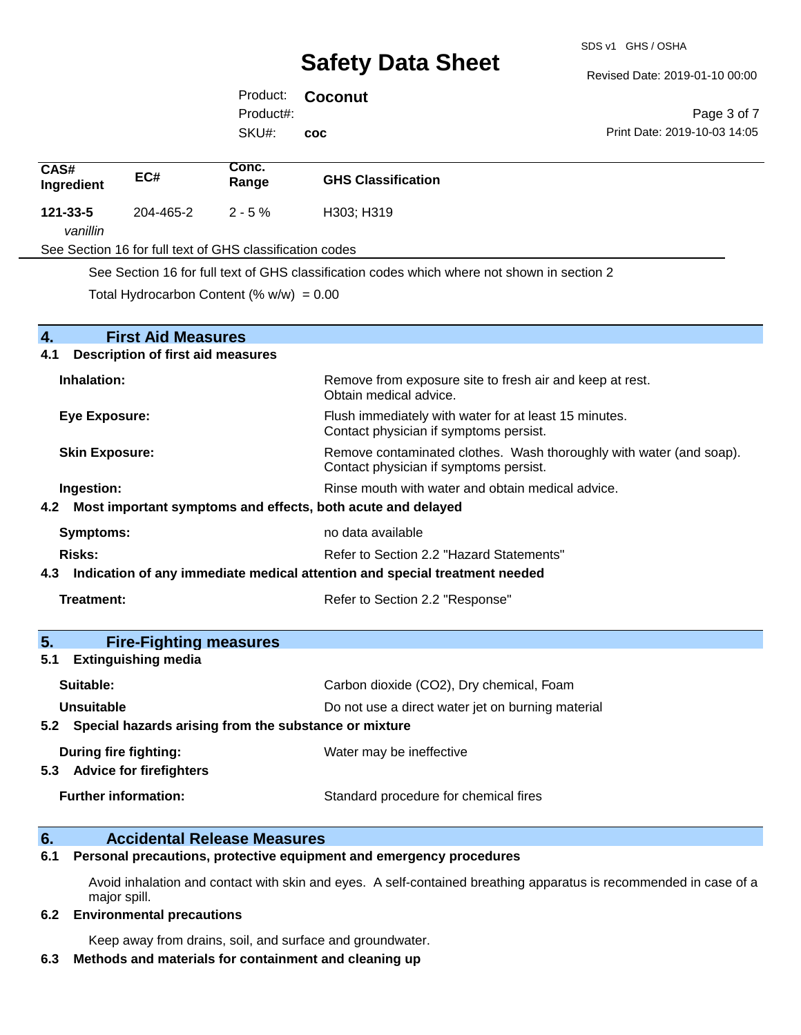Revised Date: 2019-01-10 00:00

Print Date: 2019-10-03 14:05

Page 3 of 7

Product: **Coconut**  SKU#: Product#: **coc**

| CAS#<br>Ingredient                                                 | EC#                                                             | Conc.<br>Range                                                      | <b>GHS Classification</b>                                                                       |
|--------------------------------------------------------------------|-----------------------------------------------------------------|---------------------------------------------------------------------|-------------------------------------------------------------------------------------------------|
| 121-33-5<br>vanillin                                               | 204-465-2                                                       | $2 - 5%$                                                            | H303; H319                                                                                      |
|                                                                    |                                                                 | See Section 16 for full text of GHS classification codes            |                                                                                                 |
|                                                                    |                                                                 |                                                                     | See Section 16 for full text of GHS classification codes which where not shown in section 2     |
|                                                                    |                                                                 | Total Hydrocarbon Content (% $w/w$ ) = 0.00                         |                                                                                                 |
|                                                                    |                                                                 |                                                                     |                                                                                                 |
| $\overline{4}$ .                                                   | <b>First Aid Measures</b>                                       |                                                                     |                                                                                                 |
| 4.1                                                                | <b>Description of first aid measures</b>                        |                                                                     |                                                                                                 |
| Inhalation:                                                        |                                                                 |                                                                     | Remove from exposure site to fresh air and keep at rest.<br>Obtain medical advice.              |
| <b>Eye Exposure:</b>                                               |                                                                 |                                                                     | Flush immediately with water for at least 15 minutes.<br>Contact physician if symptoms persist. |
| <b>Skin Exposure:</b><br>Contact physician if symptoms persist.    |                                                                 | Remove contaminated clothes. Wash thoroughly with water (and soap). |                                                                                                 |
|                                                                    | Ingestion:<br>Rinse mouth with water and obtain medical advice. |                                                                     |                                                                                                 |
| Most important symptoms and effects, both acute and delayed<br>4.2 |                                                                 |                                                                     |                                                                                                 |
| <b>Symptoms:</b>                                                   |                                                                 |                                                                     | no data available                                                                               |
| <b>Risks:</b>                                                      |                                                                 |                                                                     | Refer to Section 2.2 "Hazard Statements"                                                        |
| 4.3                                                                |                                                                 |                                                                     | Indication of any immediate medical attention and special treatment needed                      |
| <b>Treatment:</b>                                                  |                                                                 |                                                                     | Refer to Section 2.2 "Response"                                                                 |
| 5.                                                                 | <b>Fire-Fighting measures</b>                                   |                                                                     |                                                                                                 |
| 5.1                                                                | <b>Extinguishing media</b>                                      |                                                                     |                                                                                                 |
|                                                                    |                                                                 |                                                                     |                                                                                                 |

| Suitable:                                                 | Carbon dioxide (CO2), Dry chemical, Foam          |  |
|-----------------------------------------------------------|---------------------------------------------------|--|
| Unsuitable                                                | Do not use a direct water jet on burning material |  |
| 5.2 Special hazards arising from the substance or mixture |                                                   |  |
| During fire fighting:                                     | Water may be ineffective                          |  |
| <b>Advice for firefighters</b><br>5.3                     |                                                   |  |
| <b>Further information:</b>                               | Standard procedure for chemical fires             |  |

## **6. Accidental Release Measures**

**6.1 Personal precautions, protective equipment and emergency procedures**

Avoid inhalation and contact with skin and eyes. A self-contained breathing apparatus is recommended in case of a major spill.

#### **6.2 Environmental precautions**

Keep away from drains, soil, and surface and groundwater.

#### **6.3 Methods and materials for containment and cleaning up**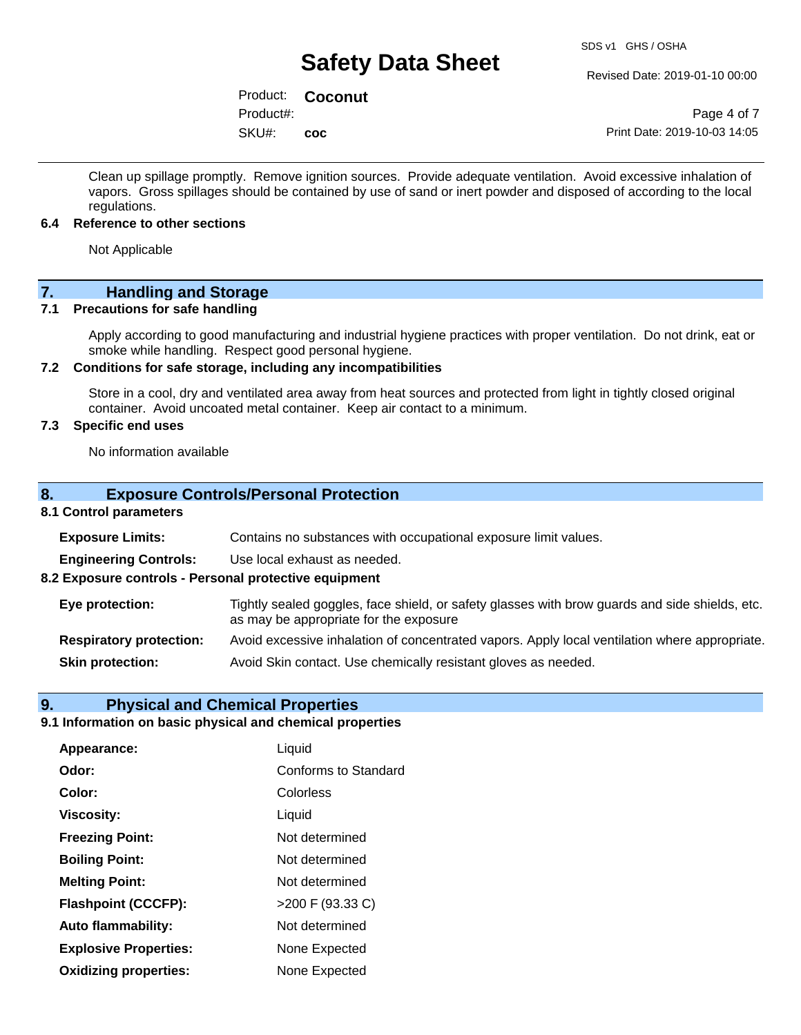Revised Date: 2019-01-10 00:00

Product: **Coconut**  SKU#: Product#: **coc**

Page 4 of 7 Print Date: 2019-10-03 14:05

Clean up spillage promptly. Remove ignition sources. Provide adequate ventilation. Avoid excessive inhalation of vapors. Gross spillages should be contained by use of sand or inert powder and disposed of according to the local regulations.

#### **6.4 Reference to other sections**

Not Applicable

# **7. Handling and Storage**

#### **7.1 Precautions for safe handling**

Apply according to good manufacturing and industrial hygiene practices with proper ventilation. Do not drink, eat or smoke while handling. Respect good personal hygiene.

#### **7.2 Conditions for safe storage, including any incompatibilities**

Store in a cool, dry and ventilated area away from heat sources and protected from light in tightly closed original container. Avoid uncoated metal container. Keep air contact to a minimum.

### **7.3 Specific end uses**

No information available

#### **8. Exposure Controls/Personal Protection**

#### **8.1 Control parameters**

| <b>Exposure Limits:</b>                               | Contains no substances with occupational exposure limit values.                                                                          |  |
|-------------------------------------------------------|------------------------------------------------------------------------------------------------------------------------------------------|--|
| <b>Engineering Controls:</b>                          | Use local exhaust as needed.                                                                                                             |  |
| 8.2 Exposure controls - Personal protective equipment |                                                                                                                                          |  |
| Eye protection:                                       | Tightly sealed goggles, face shield, or safety glasses with brow guards and side shields, etc.<br>as may be appropriate for the exposure |  |
| <b>Respiratory protection:</b>                        | Avoid excessive inhalation of concentrated vapors. Apply local ventilation where appropriate.                                            |  |
| <b>Skin protection:</b>                               | Avoid Skin contact. Use chemically resistant gloves as needed.                                                                           |  |

#### **9. Physical and Chemical Properties**

### **9.1 Information on basic physical and chemical properties**

| Appearance:                  | Liquid                      |
|------------------------------|-----------------------------|
| Odor:                        | <b>Conforms to Standard</b> |
| Color:                       | Colorless                   |
| <b>Viscosity:</b>            | Liquid                      |
| <b>Freezing Point:</b>       | Not determined              |
| <b>Boiling Point:</b>        | Not determined              |
| <b>Melting Point:</b>        | Not determined              |
| <b>Flashpoint (CCCFP):</b>   | >200 F (93.33 C)            |
| <b>Auto flammability:</b>    | Not determined              |
| <b>Explosive Properties:</b> | None Expected               |
| <b>Oxidizing properties:</b> | None Expected               |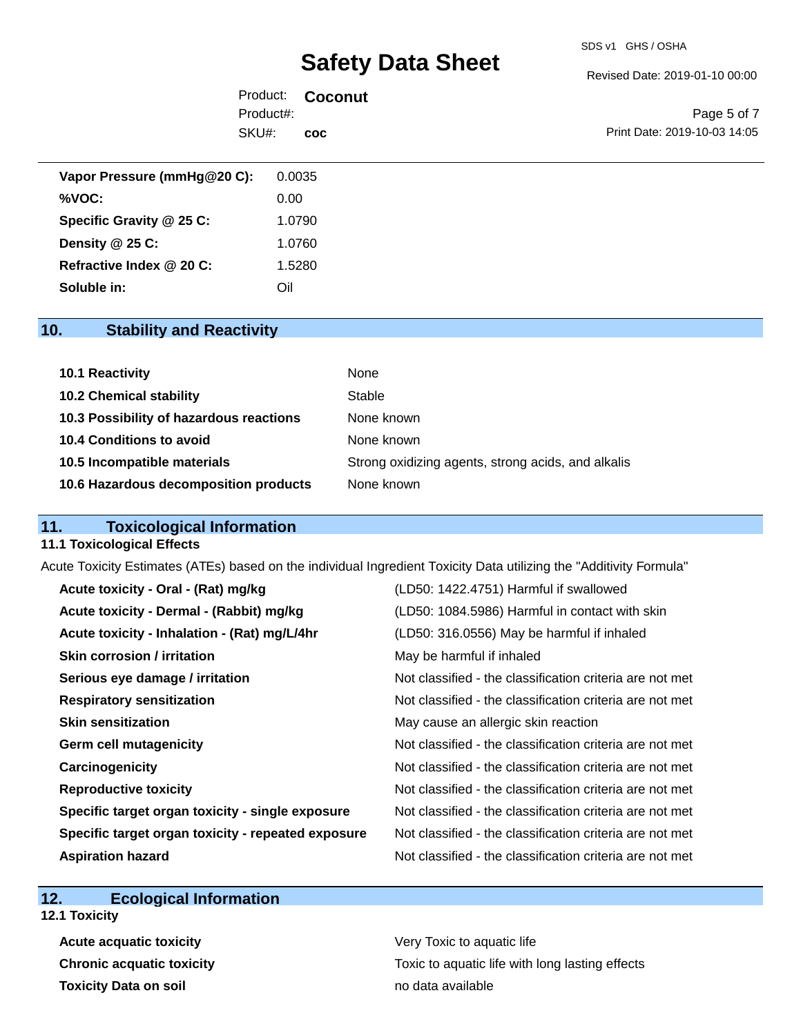#### SDS v1 GHS / OSHA

# **Safety Data Sheet**

Revised Date: 2019-01-10 00:00

|           | Product: <b>Coconut</b> |
|-----------|-------------------------|
| Product#: |                         |
| SKU#: coc |                         |

Page 5 of 7 Print Date: 2019-10-03 14:05

| Vapor Pressure (mmHg@20 C): | 0.0035 |
|-----------------------------|--------|
| %VOC:                       | 0.00   |
| Specific Gravity @ 25 C:    | 1.0790 |
| Density @ 25 C:             | 1.0760 |
| Refractive Index @ 20 C:    | 1.5280 |
| Soluble in:                 | Oil    |

# **10. Stability and Reactivity**

| 10.1 Reactivity                         | None                                               |
|-----------------------------------------|----------------------------------------------------|
| <b>10.2 Chemical stability</b>          | Stable                                             |
| 10.3 Possibility of hazardous reactions | None known                                         |
| 10.4 Conditions to avoid                | None known                                         |
| 10.5 Incompatible materials             | Strong oxidizing agents, strong acids, and alkalis |
| 10.6 Hazardous decomposition products   | None known                                         |

## **11. Toxicological Information**

#### **11.1 Toxicological Effects**

Acute Toxicity Estimates (ATEs) based on the individual Ingredient Toxicity Data utilizing the "Additivity Formula"

| Acute toxicity - Oral - (Rat) mg/kg                | (LD50: 1422.4751) Harmful if swallowed                   |
|----------------------------------------------------|----------------------------------------------------------|
| Acute toxicity - Dermal - (Rabbit) mg/kg           | (LD50: 1084.5986) Harmful in contact with skin           |
| Acute toxicity - Inhalation - (Rat) mg/L/4hr       | (LD50: 316.0556) May be harmful if inhaled               |
| Skin corrosion / irritation                        | May be harmful if inhaled                                |
| Serious eye damage / irritation                    | Not classified - the classification criteria are not met |
| <b>Respiratory sensitization</b>                   | Not classified - the classification criteria are not met |
| <b>Skin sensitization</b>                          | May cause an allergic skin reaction                      |
| <b>Germ cell mutagenicity</b>                      | Not classified - the classification criteria are not met |
| Carcinogenicity                                    | Not classified - the classification criteria are not met |
| <b>Reproductive toxicity</b>                       | Not classified - the classification criteria are not met |
| Specific target organ toxicity - single exposure   | Not classified - the classification criteria are not met |
| Specific target organ toxicity - repeated exposure | Not classified - the classification criteria are not met |
| <b>Aspiration hazard</b>                           | Not classified - the classification criteria are not met |

## **12. Ecological Information**

**12.1 Toxicity**

**Acute acquatic toxicity Very Toxic to aquatic life Toxicity Data on soil no data available no data available** 

**Chronic acquatic toxicity Toxic to aquatic life with long lasting effects**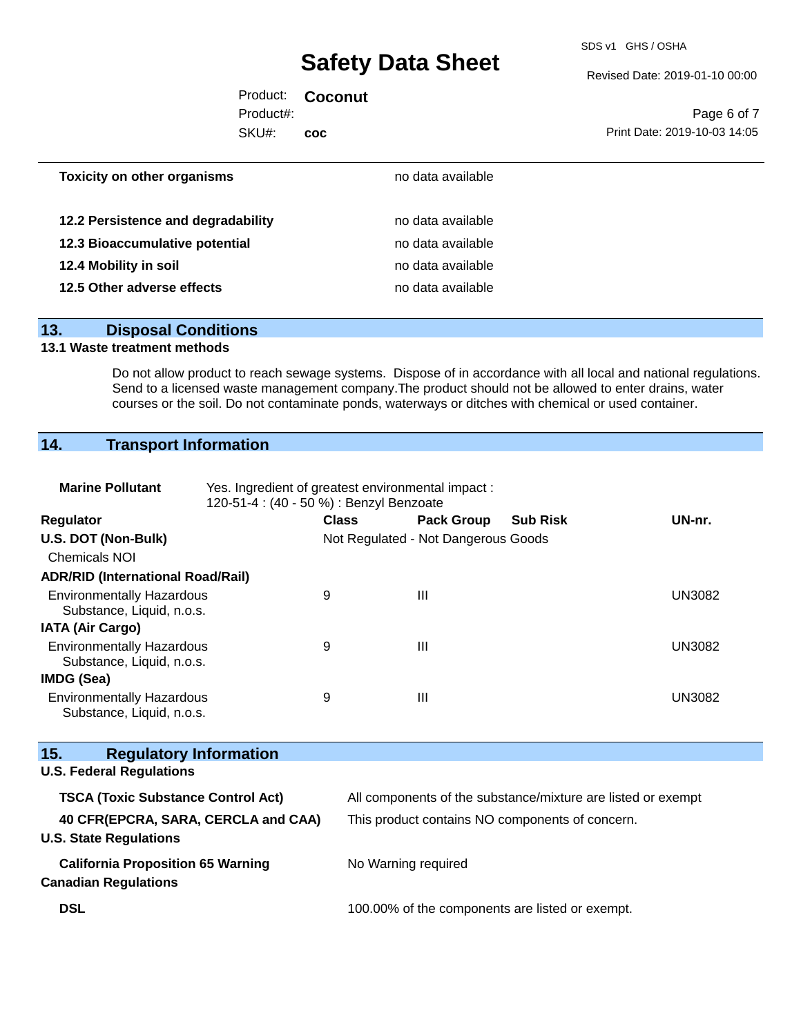SDS v1 GHS / OSHA

Revised Date: 2019-01-10 00:00

|           | Product: <b>Coconut</b> |                              |
|-----------|-------------------------|------------------------------|
| Product#: |                         | Page 6 of 7                  |
| SKU#:     | <b>COC</b>              | Print Date: 2019-10-03 14:05 |
|           |                         |                              |

| <b>Toxicity on other organisms</b> | no data available |
|------------------------------------|-------------------|
| 12.2 Persistence and degradability | no data available |
|                                    |                   |
| 12.3 Bioaccumulative potential     | no data available |
| 12.4 Mobility in soil              | no data available |
| 12.5 Other adverse effects         | no data available |
|                                    |                   |

### **13. Disposal Conditions**

### **13.1 Waste treatment methods**

Do not allow product to reach sewage systems. Dispose of in accordance with all local and national regulations. Send to a licensed waste management company. The product should not be allowed to enter drains, water courses or the soil. Do not contaminate ponds, waterways or ditches with chemical or used container.

# **14. Transport Information**

| <b>Marine Pollutant</b>                                                 | Yes. Ingredient of greatest environmental impact:<br>120-51-4 : (40 - 50 %) : Benzyl Benzoate |                                     |                                                 |                                                              |               |  |
|-------------------------------------------------------------------------|-----------------------------------------------------------------------------------------------|-------------------------------------|-------------------------------------------------|--------------------------------------------------------------|---------------|--|
| <b>Regulator</b>                                                        |                                                                                               | <b>Class</b>                        | <b>Pack Group</b>                               | <b>Sub Risk</b>                                              | UN-nr.        |  |
| U.S. DOT (Non-Bulk)                                                     |                                                                                               | Not Regulated - Not Dangerous Goods |                                                 |                                                              |               |  |
| <b>Chemicals NOI</b>                                                    |                                                                                               |                                     |                                                 |                                                              |               |  |
| <b>ADR/RID (International Road/Rail)</b>                                |                                                                                               |                                     |                                                 |                                                              |               |  |
| <b>Environmentally Hazardous</b><br>Substance, Liquid, n.o.s.           |                                                                                               | 9                                   | $\mathbf{III}$                                  |                                                              | <b>UN3082</b> |  |
| <b>IATA (Air Cargo)</b>                                                 |                                                                                               |                                     |                                                 |                                                              |               |  |
| <b>Environmentally Hazardous</b><br>Substance, Liquid, n.o.s.           |                                                                                               | 9                                   | $\mathbf{III}$                                  |                                                              | <b>UN3082</b> |  |
| <b>IMDG (Sea)</b>                                                       |                                                                                               |                                     |                                                 |                                                              |               |  |
| <b>Environmentally Hazardous</b><br>Substance, Liquid, n.o.s.           |                                                                                               | 9                                   | $\mathbf{III}$                                  |                                                              | <b>UN3082</b> |  |
| 15.<br><b>Regulatory Information</b>                                    |                                                                                               |                                     |                                                 |                                                              |               |  |
| <b>U.S. Federal Regulations</b>                                         |                                                                                               |                                     |                                                 |                                                              |               |  |
| <b>TSCA (Toxic Substance Control Act)</b>                               |                                                                                               |                                     |                                                 | All components of the substance/mixture are listed or exempt |               |  |
| 40 CFR(EPCRA, SARA, CERCLA and CAA)<br><b>U.S. State Regulations</b>    |                                                                                               |                                     | This product contains NO components of concern. |                                                              |               |  |
| <b>California Proposition 65 Warning</b><br><b>Canadian Regulations</b> |                                                                                               |                                     | No Warning required                             |                                                              |               |  |
| <b>DSL</b>                                                              |                                                                                               |                                     | 100.00% of the components are listed or exempt. |                                                              |               |  |